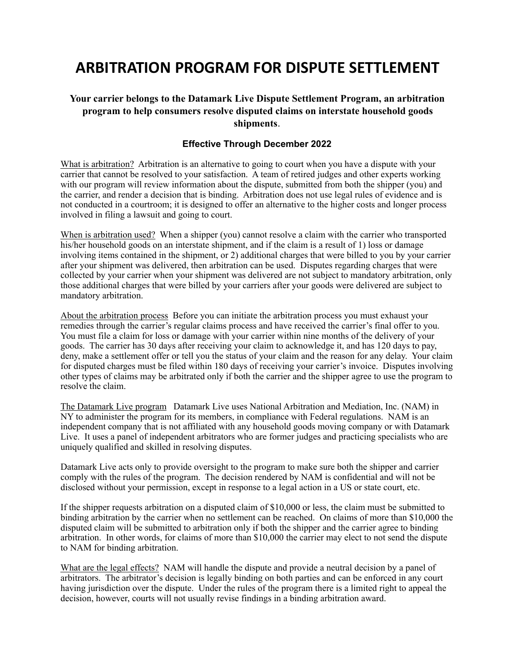## **ARBITRATION PROGRAM FOR DISPUTE SETTLEMENT**

## **Your carrier belongs to the Datamark Live Dispute Settlement Program, an arbitration program to help consumers resolve disputed claims on interstate household goods shipments**.

## **Effective Through December 2022**

What is arbitration? Arbitration is an alternative to going to court when you have a dispute with your carrier that cannot be resolved to your satisfaction. A team of retired judges and other experts working with our program will review information about the dispute, submitted from both the shipper (you) and the carrier, and render a decision that is binding. Arbitration does not use legal rules of evidence and is not conducted in a courtroom; it is designed to offer an alternative to the higher costs and longer process involved in filing a lawsuit and going to court.

When is arbitration used? When a shipper (you) cannot resolve a claim with the carrier who transported his/her household goods on an interstate shipment, and if the claim is a result of 1) loss or damage involving items contained in the shipment, or 2) additional charges that were billed to you by your carrier after your shipment was delivered, then arbitration can be used. Disputes regarding charges that were collected by your carrier when your shipment was delivered are not subject to mandatory arbitration, only those additional charges that were billed by your carriers after your goods were delivered are subject to mandatory arbitration.

About the arbitration process Before you can initiate the arbitration process you must exhaust your remedies through the carrier's regular claims process and have received the carrier's final offer to you. You must file a claim for loss or damage with your carrier within nine months of the delivery of your goods. The carrier has 30 days after receiving your claim to acknowledge it, and has 120 days to pay, deny, make a settlement offer or tell you the status of your claim and the reason for any delay. Your claim for disputed charges must be filed within 180 days of receiving your carrier's invoice. Disputes involving other types of claims may be arbitrated only if both the carrier and the shipper agree to use the program to resolve the claim.

The Datamark Live program Datamark Live uses National Arbitration and Mediation, Inc. (NAM) in NY to administer the program for its members, in compliance with Federal regulations. NAM is an independent company that is not affiliated with any household goods moving company or with Datamark Live. It uses a panel of independent arbitrators who are former judges and practicing specialists who are uniquely qualified and skilled in resolving disputes.

Datamark Live acts only to provide oversight to the program to make sure both the shipper and carrier comply with the rules of the program. The decision rendered by NAM is confidential and will not be disclosed without your permission, except in response to a legal action in a US or state court, etc.

If the shipper requests arbitration on a disputed claim of \$10,000 or less, the claim must be submitted to binding arbitration by the carrier when no settlement can be reached. On claims of more than \$10,000 the disputed claim will be submitted to arbitration only if both the shipper and the carrier agree to binding arbitration. In other words, for claims of more than \$10,000 the carrier may elect to not send the dispute to NAM for binding arbitration.

What are the legal effects? NAM will handle the dispute and provide a neutral decision by a panel of arbitrators. The arbitrator's decision is legally binding on both parties and can be enforced in any court having jurisdiction over the dispute. Under the rules of the program there is a limited right to appeal the decision, however, courts will not usually revise findings in a binding arbitration award.